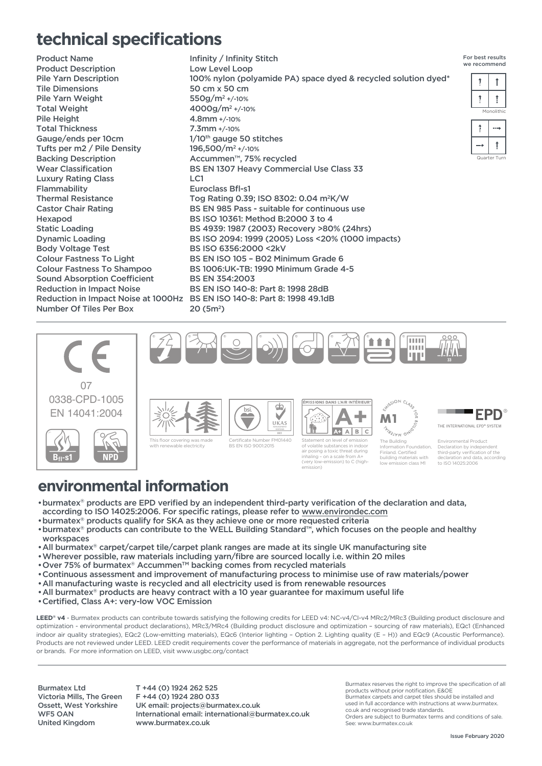## **technical specifications**

Product Name Product Description Pile Yarn Description Tile Dimensions Pile Yarn Weight Total Weight Pile Height Total Thickness Gauge/ends per 10cm Tufts per m2 / Pile Density Backing Description Wear Classification Luxury Rating Class Flammability Thermal Resistance Castor Chair Rating Hexapod Static Loading Dynamic Loading Body Voltage Test Colour Fastness To Light Colour Fastness To Shampoo Sound Absorption Coefficient Reduction in Impact Noise Reduction in Impact Noise at 1000Hz Number Of Tiles Per Box

Infinity / Infinity Stitch Low Level Loop 100% nylon (polyamide PA) space dyed & recycled solution dyed\* 50 cm x 50 cm 550g/m2 +/-10% 4000g/m2 +/-10% 4.8mm +/-10% 7.3mm +/-10% 1/10<sup>th</sup> gauge 50 stitches 196,500/m2 +/-10% Accummen™, 75% recycled BS EN 1307 Heavy Commercial Use Class 33 LC1 Euroclass Bfl-s1 Tog Rating 0.39; ISO 8302: 0.04 m2K/W BS EN 985 Pass - suitable for continuous use BS ISO 10361: Method B:2000 3 to 4 BS 4939: 1987 (2003) Recovery >80% (24hrs) BS ISO 2094: 1999 (2005) Loss <20% (1000 impacts) BS ISO 6356:2000 <2kV BS EN ISO 105 – B02 Minimum Grade 6 BS 1006:UK-TB: 1990 Minimum Grade 4-5 BS EN 354:2003 BS EN ISO 140-8: Part 8: 1998 28dB BS EN ISO 140-8: Part 8: 1998 49.1dB 20 (5m2)









g a toxic time.<br>• on a scale fr (very low-emission) to C (high-

building materials low emission class M1

emission)

## **environmental information**

- •burmatex® products are EPD verified by an independent third-party verification of the declaration and data, according to ISO 14025:2006. For specific ratings, please refer to www.environdec.com
- •burmatex® products qualify for SKA as they achieve one or more requested criteria
- •burmatex® products can contribute to the WELL Building Standard™, which focuses on the people and healthy workspaces
- •All burmatex® carpet/carpet tile/carpet plank ranges are made at its single UK manufacturing site
- •Wherever possible, raw materials including yarn/fibre are sourced locally i.e. within 20 miles
- Over 75% of burmatex® Accummen™ backing comes from recycled materials
- •Continuous assessment and improvement of manufacturing process to minimise use of raw materials/power
- •All manufacturing waste is recycled and all electricity used is from renewable resources
- •All burmatex® products are heavy contract with a 10 year guarantee for maximum useful life
- •Certified, Class A+: very-low VOC Emission

LEED<sup>®</sup> v4 - Burmatex products can contribute towards satisfying the following credits for LEED v4: NC-v4/CI-v4 MRc2/MRc3 (Building product disclosure and optimization - environmental product declarations), MRc3/MRc4 (Building product disclosure and optimization – sourcing of raw materials), EQc1 (Enhanced indoor air quality strategies), EQc2 (Low-emitting materials), EQc6 (Interior lighting – Option 2. Lighting quality (E – H)) and EQc9 (Acoustic Performance). Products are not reviewed under LEED. LEED credit requirements cover the performance of materials in aggregate, not the performance of individual products or brands. For more information on LEED, visit www.usgbc.org/contact

Burmatex Ltd Victoria Mills, The Green Ossett, West Yorkshire WF5 OAN United Kingdom

T +44 (0) 1924 262 525 F +44 (0) 1924 280 033 UK email: projects@burmatex.co.uk International email: international@burmatex.co.uk www.burmatex.co.uk

Burmatex reserves the right to improve the specification of all products without prior notification. E&OE

Burmatex carpets and carpet tiles should be installed and used in full accordance with instructions at www.burmatex.

co.uk and recognised trade standards. Orders are subject to Burmatex terms and conditions of sale. See: www.burmatex.co.uk

declaration and data, according to ISO 14025:2006

ш